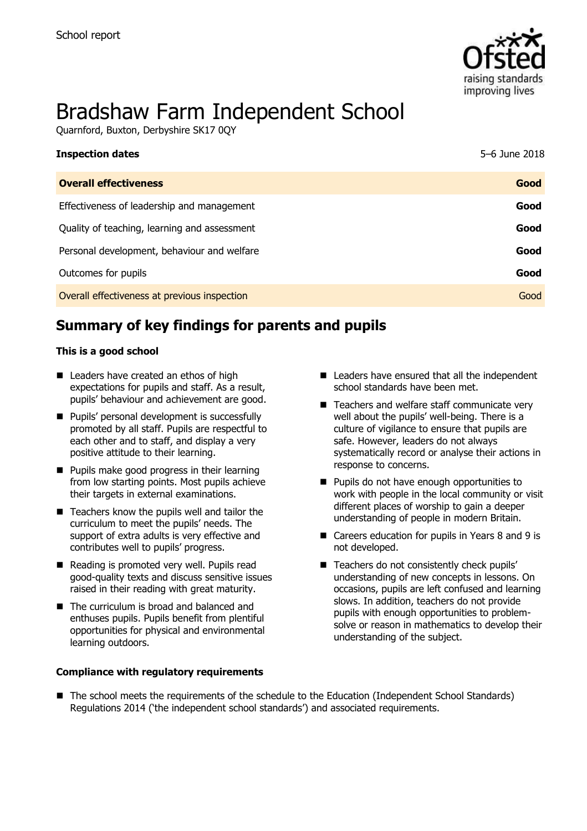

# Bradshaw Farm Independent School

Quarnford, Buxton, Derbyshire SK17 0QY

| <b>Inspection dates</b>                      | 5–6 June 2018 |
|----------------------------------------------|---------------|
| <b>Overall effectiveness</b>                 | Good          |
| Effectiveness of leadership and management   | Good          |
| Quality of teaching, learning and assessment | Good          |
| Personal development, behaviour and welfare  | Good          |
| Outcomes for pupils                          | Good          |
| Overall effectiveness at previous inspection | Good          |

# **Summary of key findings for parents and pupils**

#### **This is a good school**

- Leaders have created an ethos of high expectations for pupils and staff. As a result, pupils' behaviour and achievement are good.
- **Pupils' personal development is successfully** promoted by all staff. Pupils are respectful to each other and to staff, and display a very positive attitude to their learning.
- **Pupils make good progress in their learning** from low starting points. Most pupils achieve their targets in external examinations.
- $\blacksquare$  Teachers know the pupils well and tailor the curriculum to meet the pupils' needs. The support of extra adults is very effective and contributes well to pupils' progress.
- Reading is promoted very well. Pupils read good-quality texts and discuss sensitive issues raised in their reading with great maturity.
- The curriculum is broad and balanced and enthuses pupils. Pupils benefit from plentiful opportunities for physical and environmental learning outdoors.

#### **Compliance with regulatory requirements**

- Leaders have ensured that all the independent school standards have been met.
- Teachers and welfare staff communicate very well about the pupils' well-being. There is a culture of vigilance to ensure that pupils are safe. However, leaders do not always systematically record or analyse their actions in response to concerns.
- **Pupils do not have enough opportunities to** work with people in the local community or visit different places of worship to gain a deeper understanding of people in modern Britain.
- Careers education for pupils in Years 8 and 9 is not developed.
- Teachers do not consistently check pupils' understanding of new concepts in lessons. On occasions, pupils are left confused and learning slows. In addition, teachers do not provide pupils with enough opportunities to problemsolve or reason in mathematics to develop their understanding of the subject.
- The school meets the requirements of the schedule to the Education (Independent School Standards) Regulations 2014 ('the independent school standards') and associated requirements.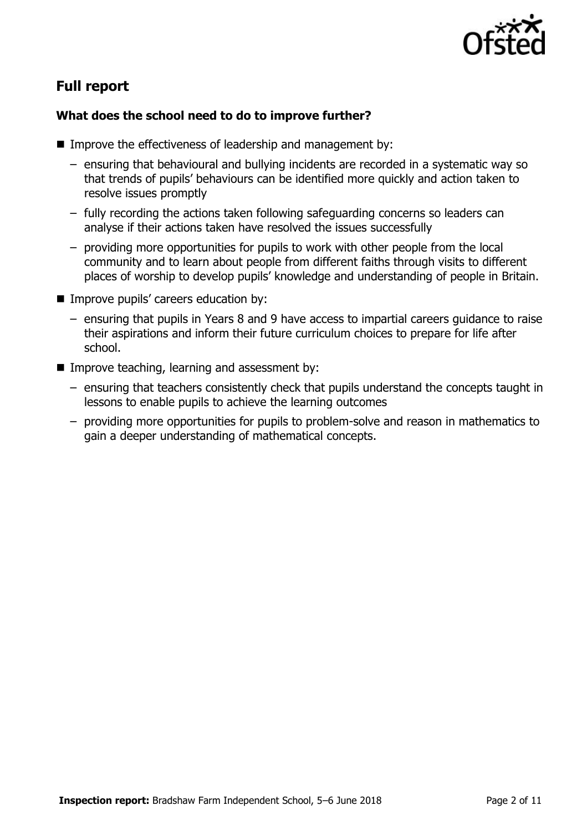

# **Full report**

### **What does the school need to do to improve further?**

- Improve the effectiveness of leadership and management by:
	- ensuring that behavioural and bullying incidents are recorded in a systematic way so that trends of pupils' behaviours can be identified more quickly and action taken to resolve issues promptly
	- fully recording the actions taken following safeguarding concerns so leaders can analyse if their actions taken have resolved the issues successfully
	- providing more opportunities for pupils to work with other people from the local community and to learn about people from different faiths through visits to different places of worship to develop pupils' knowledge and understanding of people in Britain.
- **IMPROVE pupils' careers education by:** 
	- ensuring that pupils in Years 8 and 9 have access to impartial careers guidance to raise their aspirations and inform their future curriculum choices to prepare for life after school.
- Improve teaching, learning and assessment by:
	- ensuring that teachers consistently check that pupils understand the concepts taught in lessons to enable pupils to achieve the learning outcomes
	- providing more opportunities for pupils to problem-solve and reason in mathematics to gain a deeper understanding of mathematical concepts.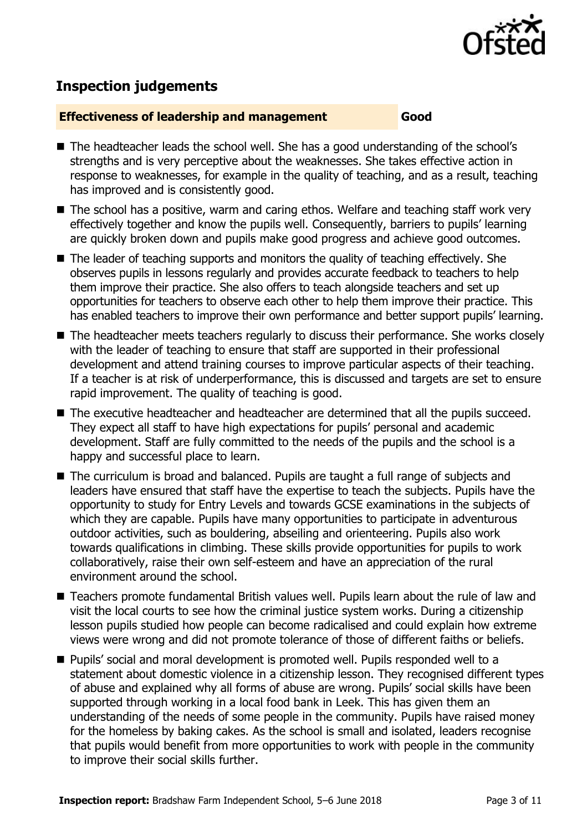

# **Inspection judgements**

#### **Effectiveness of leadership and management Good**

- The headteacher leads the school well. She has a good understanding of the school's strengths and is very perceptive about the weaknesses. She takes effective action in response to weaknesses, for example in the quality of teaching, and as a result, teaching has improved and is consistently good.
- The school has a positive, warm and caring ethos. Welfare and teaching staff work very effectively together and know the pupils well. Consequently, barriers to pupils' learning are quickly broken down and pupils make good progress and achieve good outcomes.
- The leader of teaching supports and monitors the quality of teaching effectively. She observes pupils in lessons regularly and provides accurate feedback to teachers to help them improve their practice. She also offers to teach alongside teachers and set up opportunities for teachers to observe each other to help them improve their practice. This has enabled teachers to improve their own performance and better support pupils' learning.
- The headteacher meets teachers regularly to discuss their performance. She works closely with the leader of teaching to ensure that staff are supported in their professional development and attend training courses to improve particular aspects of their teaching. If a teacher is at risk of underperformance, this is discussed and targets are set to ensure rapid improvement. The quality of teaching is good.
- The executive headteacher and headteacher are determined that all the pupils succeed. They expect all staff to have high expectations for pupils' personal and academic development. Staff are fully committed to the needs of the pupils and the school is a happy and successful place to learn.
- The curriculum is broad and balanced. Pupils are taught a full range of subjects and leaders have ensured that staff have the expertise to teach the subjects. Pupils have the opportunity to study for Entry Levels and towards GCSE examinations in the subjects of which they are capable. Pupils have many opportunities to participate in adventurous outdoor activities, such as bouldering, abseiling and orienteering. Pupils also work towards qualifications in climbing. These skills provide opportunities for pupils to work collaboratively, raise their own self-esteem and have an appreciation of the rural environment around the school.
- Teachers promote fundamental British values well. Pupils learn about the rule of law and visit the local courts to see how the criminal justice system works. During a citizenship lesson pupils studied how people can become radicalised and could explain how extreme views were wrong and did not promote tolerance of those of different faiths or beliefs.
- **Pupils' social and moral development is promoted well. Pupils responded well to a** statement about domestic violence in a citizenship lesson. They recognised different types of abuse and explained why all forms of abuse are wrong. Pupils' social skills have been supported through working in a local food bank in Leek. This has given them an understanding of the needs of some people in the community. Pupils have raised money for the homeless by baking cakes. As the school is small and isolated, leaders recognise that pupils would benefit from more opportunities to work with people in the community to improve their social skills further.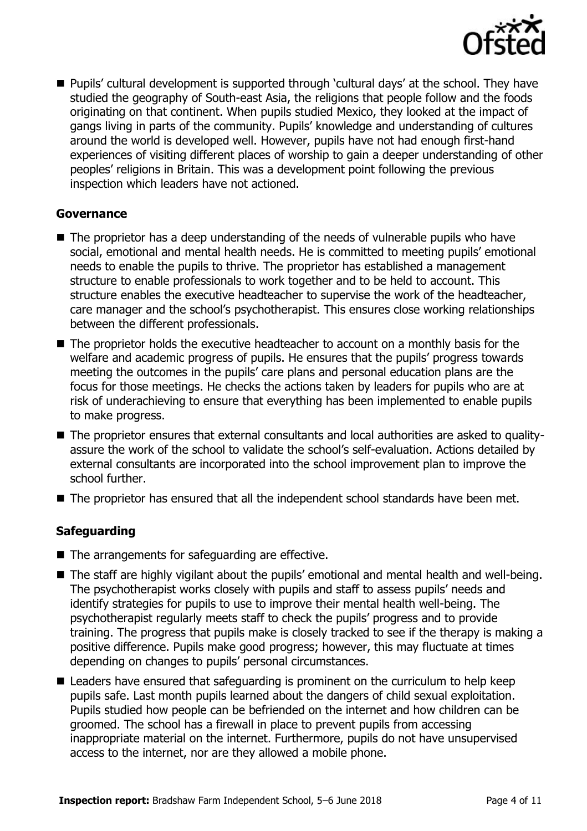

■ Pupils' cultural development is supported through 'cultural days' at the school. They have studied the geography of South-east Asia, the religions that people follow and the foods originating on that continent. When pupils studied Mexico, they looked at the impact of gangs living in parts of the community. Pupils' knowledge and understanding of cultures around the world is developed well. However, pupils have not had enough first-hand experiences of visiting different places of worship to gain a deeper understanding of other peoples' religions in Britain. This was a development point following the previous inspection which leaders have not actioned.

#### **Governance**

- The proprietor has a deep understanding of the needs of vulnerable pupils who have social, emotional and mental health needs. He is committed to meeting pupils' emotional needs to enable the pupils to thrive. The proprietor has established a management structure to enable professionals to work together and to be held to account. This structure enables the executive headteacher to supervise the work of the headteacher, care manager and the school's psychotherapist. This ensures close working relationships between the different professionals.
- The proprietor holds the executive headteacher to account on a monthly basis for the welfare and academic progress of pupils. He ensures that the pupils' progress towards meeting the outcomes in the pupils' care plans and personal education plans are the focus for those meetings. He checks the actions taken by leaders for pupils who are at risk of underachieving to ensure that everything has been implemented to enable pupils to make progress.
- The proprietor ensures that external consultants and local authorities are asked to qualityassure the work of the school to validate the school's self-evaluation. Actions detailed by external consultants are incorporated into the school improvement plan to improve the school further.
- The proprietor has ensured that all the independent school standards have been met.

### **Safeguarding**

- The arrangements for safeguarding are effective.
- The staff are highly vigilant about the pupils' emotional and mental health and well-being. The psychotherapist works closely with pupils and staff to assess pupils' needs and identify strategies for pupils to use to improve their mental health well-being. The psychotherapist regularly meets staff to check the pupils' progress and to provide training. The progress that pupils make is closely tracked to see if the therapy is making a positive difference. Pupils make good progress; however, this may fluctuate at times depending on changes to pupils' personal circumstances.
- Leaders have ensured that safeguarding is prominent on the curriculum to help keep pupils safe. Last month pupils learned about the dangers of child sexual exploitation. Pupils studied how people can be befriended on the internet and how children can be groomed. The school has a firewall in place to prevent pupils from accessing inappropriate material on the internet. Furthermore, pupils do not have unsupervised access to the internet, nor are they allowed a mobile phone.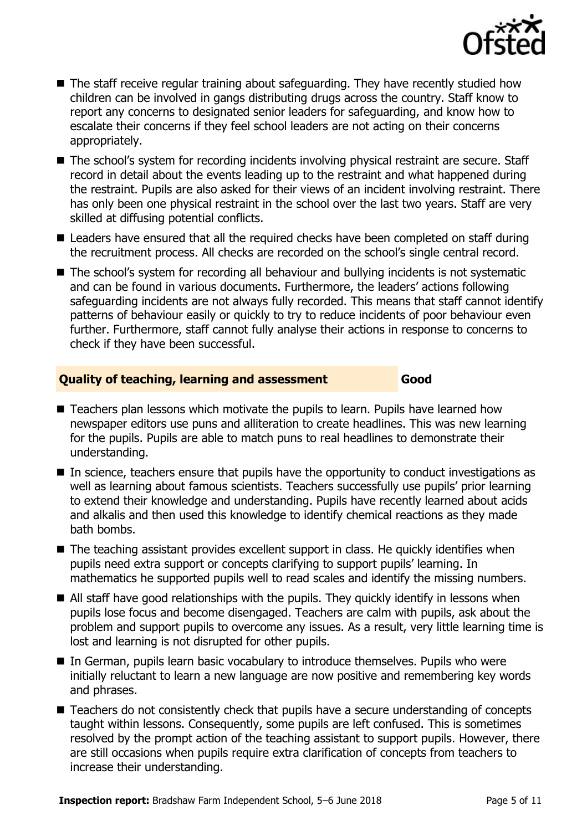

- The staff receive regular training about safeguarding. They have recently studied how children can be involved in gangs distributing drugs across the country. Staff know to report any concerns to designated senior leaders for safeguarding, and know how to escalate their concerns if they feel school leaders are not acting on their concerns appropriately.
- The school's system for recording incidents involving physical restraint are secure. Staff record in detail about the events leading up to the restraint and what happened during the restraint. Pupils are also asked for their views of an incident involving restraint. There has only been one physical restraint in the school over the last two years. Staff are very skilled at diffusing potential conflicts.
- Leaders have ensured that all the required checks have been completed on staff during the recruitment process. All checks are recorded on the school's single central record.
- The school's system for recording all behaviour and bullying incidents is not systematic and can be found in various documents. Furthermore, the leaders' actions following safeguarding incidents are not always fully recorded. This means that staff cannot identify patterns of behaviour easily or quickly to try to reduce incidents of poor behaviour even further. Furthermore, staff cannot fully analyse their actions in response to concerns to check if they have been successful.

### **Quality of teaching, learning and assessment Good**

- Teachers plan lessons which motivate the pupils to learn. Pupils have learned how newspaper editors use puns and alliteration to create headlines. This was new learning for the pupils. Pupils are able to match puns to real headlines to demonstrate their understanding.
- In science, teachers ensure that pupils have the opportunity to conduct investigations as well as learning about famous scientists. Teachers successfully use pupils' prior learning to extend their knowledge and understanding. Pupils have recently learned about acids and alkalis and then used this knowledge to identify chemical reactions as they made bath bombs.
- The teaching assistant provides excellent support in class. He quickly identifies when pupils need extra support or concepts clarifying to support pupils' learning. In mathematics he supported pupils well to read scales and identify the missing numbers.
- All staff have good relationships with the pupils. They quickly identify in lessons when pupils lose focus and become disengaged. Teachers are calm with pupils, ask about the problem and support pupils to overcome any issues. As a result, very little learning time is lost and learning is not disrupted for other pupils.
- In German, pupils learn basic vocabulary to introduce themselves. Pupils who were initially reluctant to learn a new language are now positive and remembering key words and phrases.
- Teachers do not consistently check that pupils have a secure understanding of concepts taught within lessons. Consequently, some pupils are left confused. This is sometimes resolved by the prompt action of the teaching assistant to support pupils. However, there are still occasions when pupils require extra clarification of concepts from teachers to increase their understanding.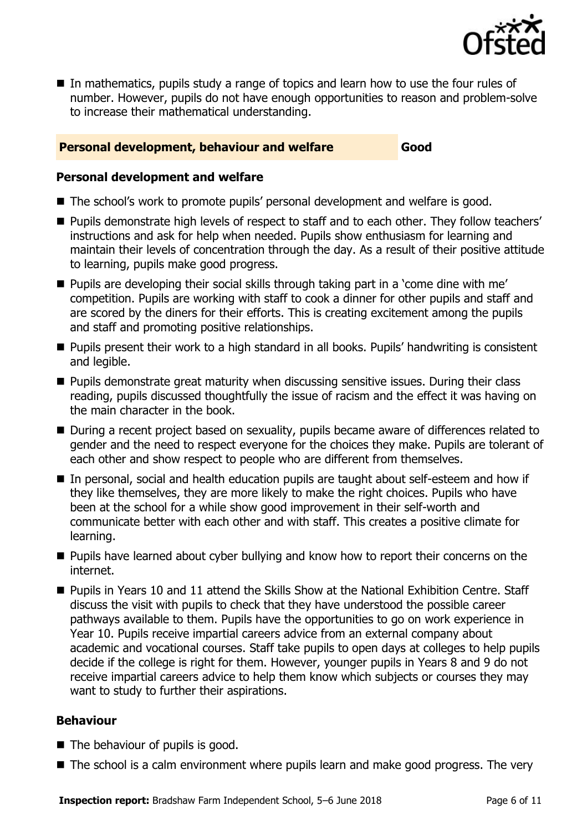

■ In mathematics, pupils study a range of topics and learn how to use the four rules of number. However, pupils do not have enough opportunities to reason and problem-solve to increase their mathematical understanding.

#### **Personal development, behaviour and welfare Good**

#### **Personal development and welfare**

- The school's work to promote pupils' personal development and welfare is good.
- Pupils demonstrate high levels of respect to staff and to each other. They follow teachers' instructions and ask for help when needed. Pupils show enthusiasm for learning and maintain their levels of concentration through the day. As a result of their positive attitude to learning, pupils make good progress.
- **Pupils are developing their social skills through taking part in a 'come dine with me'** competition. Pupils are working with staff to cook a dinner for other pupils and staff and are scored by the diners for their efforts. This is creating excitement among the pupils and staff and promoting positive relationships.
- **Pupils present their work to a high standard in all books. Pupils' handwriting is consistent** and legible.
- **Pupils demonstrate great maturity when discussing sensitive issues. During their class** reading, pupils discussed thoughtfully the issue of racism and the effect it was having on the main character in the book.
- During a recent project based on sexuality, pupils became aware of differences related to gender and the need to respect everyone for the choices they make. Pupils are tolerant of each other and show respect to people who are different from themselves.
- In personal, social and health education pupils are taught about self-esteem and how if they like themselves, they are more likely to make the right choices. Pupils who have been at the school for a while show good improvement in their self-worth and communicate better with each other and with staff. This creates a positive climate for learning.
- **Pupils have learned about cyber bullying and know how to report their concerns on the** internet.
- Pupils in Years 10 and 11 attend the Skills Show at the National Exhibition Centre. Staff discuss the visit with pupils to check that they have understood the possible career pathways available to them. Pupils have the opportunities to go on work experience in Year 10. Pupils receive impartial careers advice from an external company about academic and vocational courses. Staff take pupils to open days at colleges to help pupils decide if the college is right for them. However, younger pupils in Years 8 and 9 do not receive impartial careers advice to help them know which subjects or courses they may want to study to further their aspirations.

### **Behaviour**

- The behaviour of pupils is good.
- The school is a calm environment where pupils learn and make good progress. The very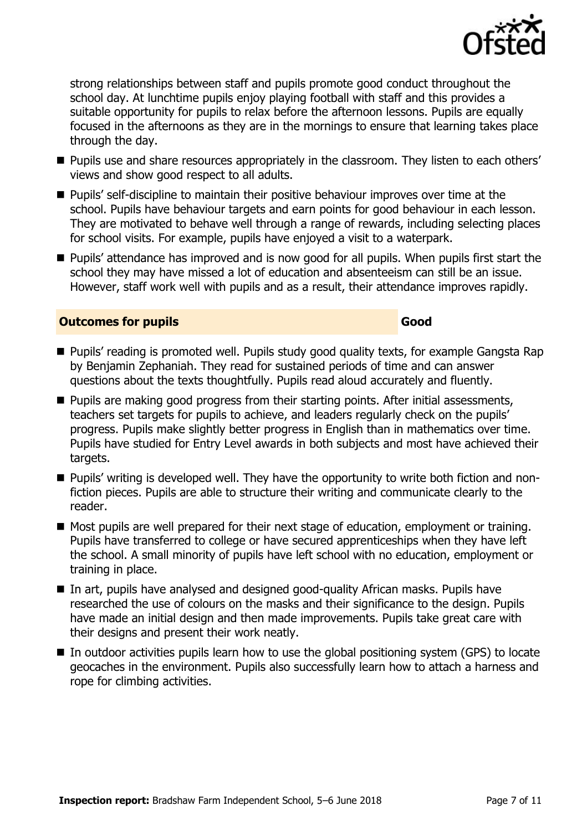

strong relationships between staff and pupils promote good conduct throughout the school day. At lunchtime pupils enjoy playing football with staff and this provides a suitable opportunity for pupils to relax before the afternoon lessons. Pupils are equally focused in the afternoons as they are in the mornings to ensure that learning takes place through the day.

- **Pupils use and share resources appropriately in the classroom. They listen to each others'** views and show good respect to all adults.
- **Pupils' self-discipline to maintain their positive behaviour improves over time at the** school. Pupils have behaviour targets and earn points for good behaviour in each lesson. They are motivated to behave well through a range of rewards, including selecting places for school visits. For example, pupils have enjoyed a visit to a waterpark.
- **Pupils' attendance has improved and is now good for all pupils. When pupils first start the** school they may have missed a lot of education and absenteeism can still be an issue. However, staff work well with pupils and as a result, their attendance improves rapidly.

#### **Outcomes for pupils Good**

- **Pupils' reading is promoted well. Pupils study good quality texts, for example Gangsta Rap** by Benjamin Zephaniah. They read for sustained periods of time and can answer questions about the texts thoughtfully. Pupils read aloud accurately and fluently.
- **Pupils are making good progress from their starting points. After initial assessments,** teachers set targets for pupils to achieve, and leaders regularly check on the pupils' progress. Pupils make slightly better progress in English than in mathematics over time. Pupils have studied for Entry Level awards in both subjects and most have achieved their targets.
- Pupils' writing is developed well. They have the opportunity to write both fiction and nonfiction pieces. Pupils are able to structure their writing and communicate clearly to the reader.
- Most pupils are well prepared for their next stage of education, employment or training. Pupils have transferred to college or have secured apprenticeships when they have left the school. A small minority of pupils have left school with no education, employment or training in place.
- In art, pupils have analysed and designed good-quality African masks. Pupils have researched the use of colours on the masks and their significance to the design. Pupils have made an initial design and then made improvements. Pupils take great care with their designs and present their work neatly.
- $\blacksquare$  In outdoor activities pupils learn how to use the global positioning system (GPS) to locate geocaches in the environment. Pupils also successfully learn how to attach a harness and rope for climbing activities.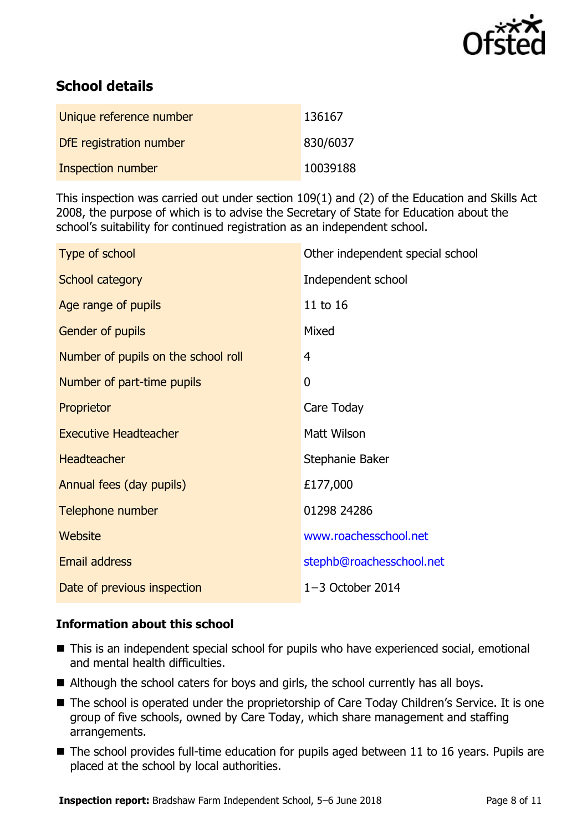

# **School details**

| Unique reference number  | 136167   |
|--------------------------|----------|
| DfE registration number  | 830/6037 |
| <b>Inspection number</b> | 10039188 |

This inspection was carried out under section 109(1) and (2) of the Education and Skills Act 2008, the purpose of which is to advise the Secretary of State for Education about the school's suitability for continued registration as an independent school.

| Type of school                      | Other independent special school |
|-------------------------------------|----------------------------------|
| School category                     | Independent school               |
| Age range of pupils                 | 11 to 16                         |
| Gender of pupils                    | Mixed                            |
| Number of pupils on the school roll | 4                                |
| Number of part-time pupils          | $\mathbf 0$                      |
| Proprietor                          | Care Today                       |
| <b>Executive Headteacher</b>        | <b>Matt Wilson</b>               |
| <b>Headteacher</b>                  | Stephanie Baker                  |
| Annual fees (day pupils)            | £177,000                         |
| Telephone number                    | 01298 24286                      |
| Website                             | www.roachesschool.net            |
| <b>Email address</b>                | stephb@roachesschool.net         |
| Date of previous inspection         | $1-3$ October 2014               |

### **Information about this school**

- This is an independent special school for pupils who have experienced social, emotional and mental health difficulties.
- Although the school caters for boys and girls, the school currently has all boys.
- The school is operated under the proprietorship of Care Today Children's Service. It is one group of five schools, owned by Care Today, which share management and staffing arrangements.
- The school provides full-time education for pupils aged between 11 to 16 years. Pupils are placed at the school by local authorities.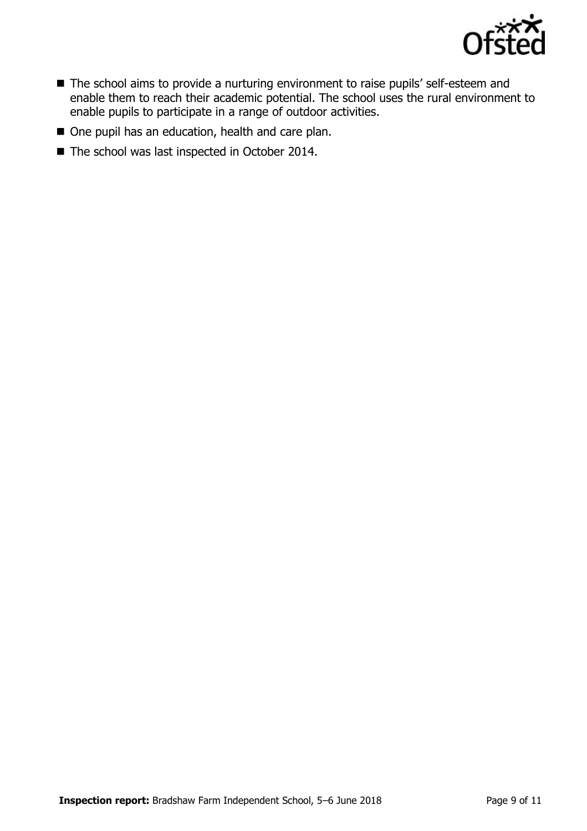

- The school aims to provide a nurturing environment to raise pupils' self-esteem and enable them to reach their academic potential. The school uses the rural environment to enable pupils to participate in a range of outdoor activities.
- One pupil has an education, health and care plan.
- The school was last inspected in October 2014.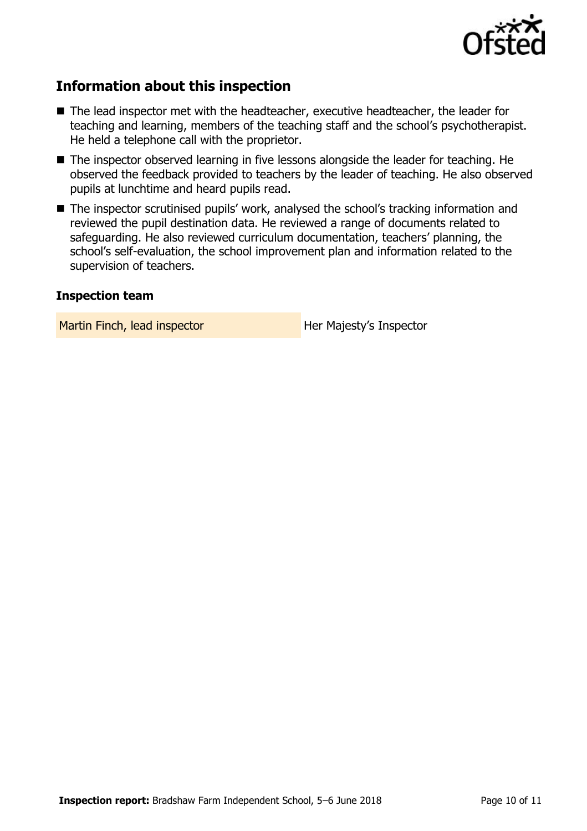

# **Information about this inspection**

- The lead inspector met with the headteacher, executive headteacher, the leader for teaching and learning, members of the teaching staff and the school's psychotherapist. He held a telephone call with the proprietor.
- The inspector observed learning in five lessons alongside the leader for teaching. He observed the feedback provided to teachers by the leader of teaching. He also observed pupils at lunchtime and heard pupils read.
- The inspector scrutinised pupils' work, analysed the school's tracking information and reviewed the pupil destination data. He reviewed a range of documents related to safeguarding. He also reviewed curriculum documentation, teachers' planning, the school's self-evaluation, the school improvement plan and information related to the supervision of teachers.

#### **Inspection team**

Martin Finch, lead inspector **Her Majesty's Inspector**